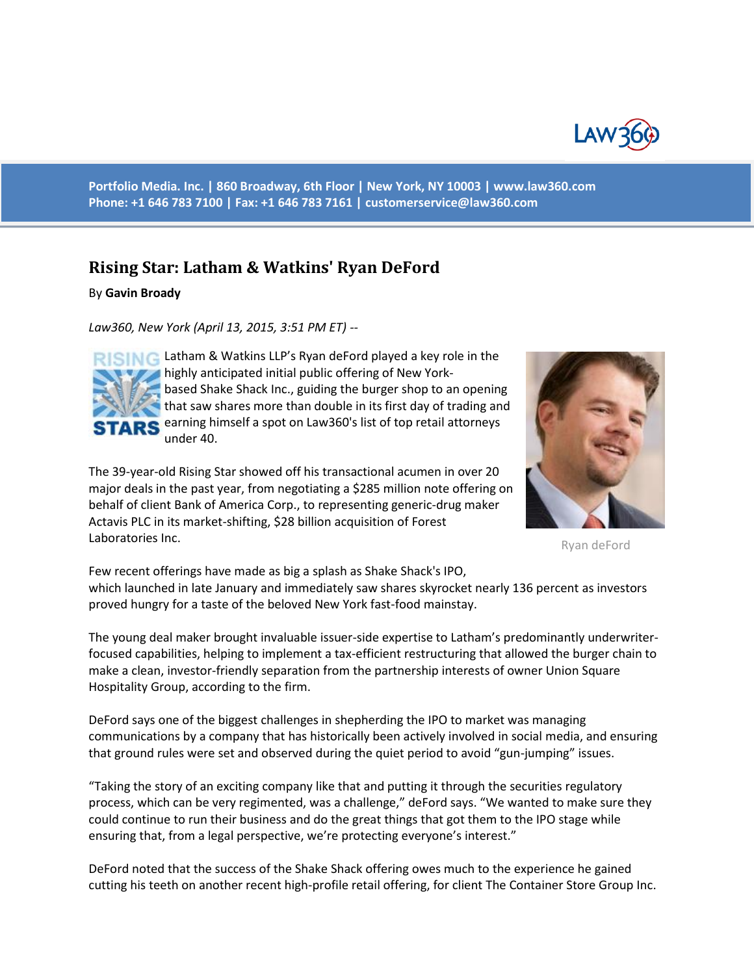

**Portfolio Media. Inc. | 860 Broadway, 6th Floor | New York, NY 10003 | www.law360.com Phone: +1 646 783 7100 | Fax: +1 646 783 7161 | [customerservice@law360.com](mailto:customerservice@law360.com)**

## **Rising Star: Latham & Watkins' Ryan DeFord**

By **Gavin Broady**

*Law360, New York (April 13, 2015, 3:51 PM ET) --*



RISING Latham & Watkins LLP's Ryan deFord played a key role in the highly anticipated initial public offering of New Yorkbased Shake Shack Inc., guiding the burger shop to an opening that saw shares more than double in its first day of trading and TARS earning himself a spot on Law360's list of top retail attorneys under 40.

The 39-year-old Rising Star showed off his transactional acumen in over 20 major deals in the past year, from negotiating a \$285 million note offering on behalf of client Bank of America Corp., to representing generic-drug maker Actavis PLC in its market-shifting, \$28 billion acquisition of Forest Laboratories Inc.



Ryan deFord

Few recent offerings have made as big a splash as Shake Shack's IPO, which launched in late January and immediately saw shares skyrocket nearly 136 percent as investors proved hungry for a taste of the beloved New York fast-food mainstay.

The young deal maker brought invaluable issuer-side expertise to Latham's predominantly underwriterfocused capabilities, helping to implement a tax-efficient restructuring that allowed the burger chain to make a clean, investor-friendly separation from the partnership interests of owner Union Square Hospitality Group, according to the firm.

DeFord says one of the biggest challenges in shepherding the IPO to market was managing communications by a company that has historically been actively involved in social media, and ensuring that ground rules were set and observed during the quiet period to avoid "gun-jumping" issues.

"Taking the story of an exciting company like that and putting it through the securities regulatory process, which can be very regimented, was a challenge," deFord says. "We wanted to make sure they could continue to run their business and do the great things that got them to the IPO stage while ensuring that, from a legal perspective, we're protecting everyone's interest."

DeFord noted that the success of the Shake Shack offering owes much to the experience he gained cutting his teeth on another recent high-profile retail offering, for client The Container Store Group Inc.